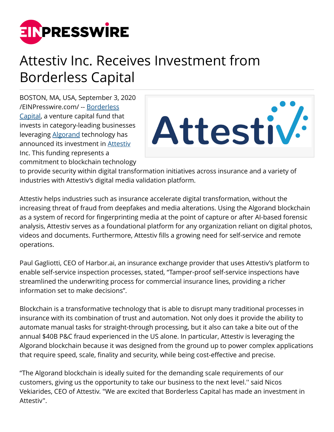

## Attestiv Inc. Receives Investment from Borderless Capital

BOSTON, MA, USA, September 3, 2020 [/EINPresswire.com/](http://www.einpresswire.com) -- [Borderless](https://borderlesscapital.io/) [Capital,](https://borderlesscapital.io/) a venture capital fund that invests in category-leading businesses leveraging [Algorand](https://www.algorand.com/) technology has announced its investment in **Attestiv** Inc. This funding represents a commitment to blockchain technology



to provide security within digital transformation initiatives across insurance and a variety of industries with Attestiv's digital media validation platform.

Attestiv helps industries such as insurance accelerate digital transformation, without the increasing threat of fraud from deepfakes and media alterations. Using the Algorand blockchain as a system of record for fingerprinting media at the point of capture or after AI-based forensic analysis, Attestiv serves as a foundational platform for any organization reliant on digital photos, videos and documents. Furthermore, Attestiv fills a growing need for self-service and remote operations.

Paul Gagliotti, CEO of Harbor.ai, an insurance exchange provider that uses Attestiv's platform to enable self-service inspection processes, stated, "Tamper-proof self-service inspections have streamlined the underwriting process for commercial insurance lines, providing a richer information set to make decisions".

Blockchain is a transformative technology that is able to disrupt many traditional processes in insurance with its combination of trust and automation. Not only does it provide the ability to automate manual tasks for straight-through processing, but it also can take a bite out of the annual \$40B P&C fraud experienced in the US alone. In particular, Attestiv is leveraging the Algorand blockchain because it was designed from the ground up to power complex applications that require speed, scale, finality and security, while being cost-effective and precise.

"The Algorand blockchain is ideally suited for the demanding scale requirements of our customers, giving us the opportunity to take our business to the next level.'' said Nicos Vekiarides, CEO of Attestiv. "We are excited that Borderless Capital has made an investment in Attestiv".